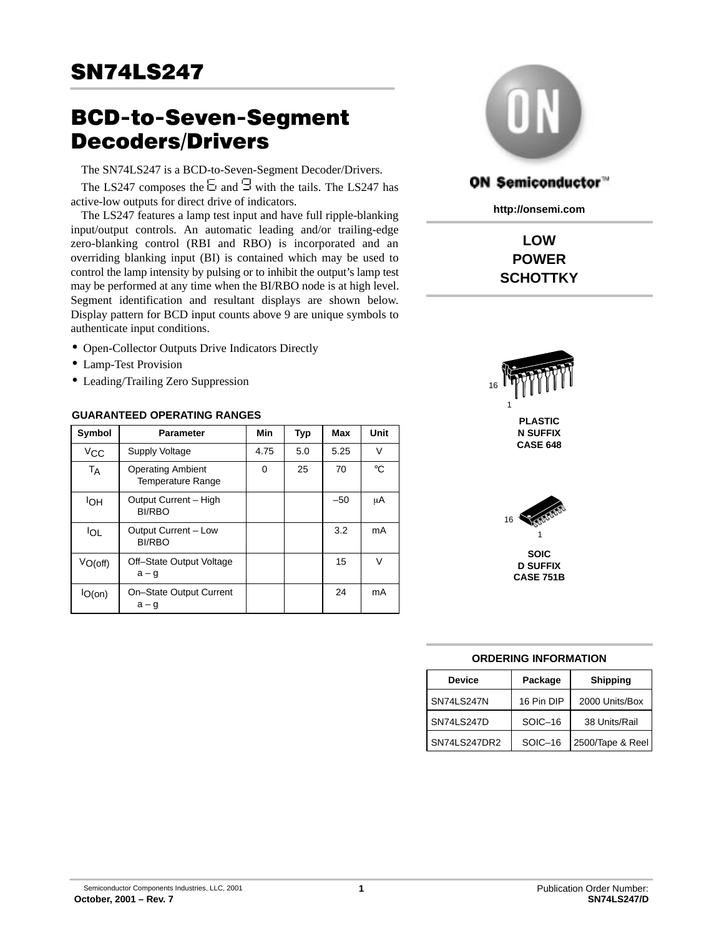# BCD-to-Seven-Segment Decoders/Drivers

The SN74LS247 is a BCD-to-Seven-Segment Decoder/Drivers.

The LS247 composes the  $\Xi$  and  $\Xi$  with the tails. The LS247 has active-low outputs for direct drive of indicators.

The LS247 features a lamp test input and have full ripple-blanking input/output controls. An automatic leading and/or trailing-edge zero-blanking control (RBI and RBO) is incorporated and an overriding blanking input (BI) is contained which may be used to control the lamp intensity by pulsing or to inhibit the output's lamp test may be performed at any time when the BI/RBO node is at high level. Segment identification and resultant displays are shown below. Display pattern for BCD input counts above 9 are unique symbols to authenticate input conditions.

- Open-Collector Outputs Drive Indicators Directly
- Lamp-Test Provision
- Leading/Trailing Zero Suppression

#### **GUARANTEED OPERATING RANGES**

| Symbol                     | <b>Parameter</b>                                     | Min  | <b>Typ</b> | Max   | Unit   |
|----------------------------|------------------------------------------------------|------|------------|-------|--------|
| $V_{CC}$                   | <b>Supply Voltage</b>                                | 4.75 | 5.0        | 5.25  | $\vee$ |
| TA                         | <b>Operating Ambient</b><br><b>Temperature Range</b> | 0    | 25         | 70    | °C     |
| <b>IOH</b>                 | Output Current - High<br><b>BI/RBO</b>               |      |            | $-50$ | μA     |
| <b>IOL</b>                 | Output Current - Low<br><b>BI/RBO</b>                |      |            | 3.2   | mA     |
| $V_{O(off)}$               | Off-State Output Voltage<br>$a - g$                  |      |            | 15    | V      |
| $\mathsf{IO}(\mathsf{on})$ | On-State Output Current<br>$a - g$                   |      |            | 24    | mA     |



# ON Semiconductor™

**http://onsemi.com**

**LOW POWER SCHOTTKY**





#### **ORDERING INFORMATION**

| <b>Device</b> | Package    | <b>Shipping</b>  |  |  |
|---------------|------------|------------------|--|--|
| SN74LS247N    | 16 Pin DIP | 2000 Units/Box   |  |  |
| SN74LS247D    | SOIC-16    | 38 Units/Rail    |  |  |
| SN74LS247DR2  | SOIC-16    | 2500/Tape & Reel |  |  |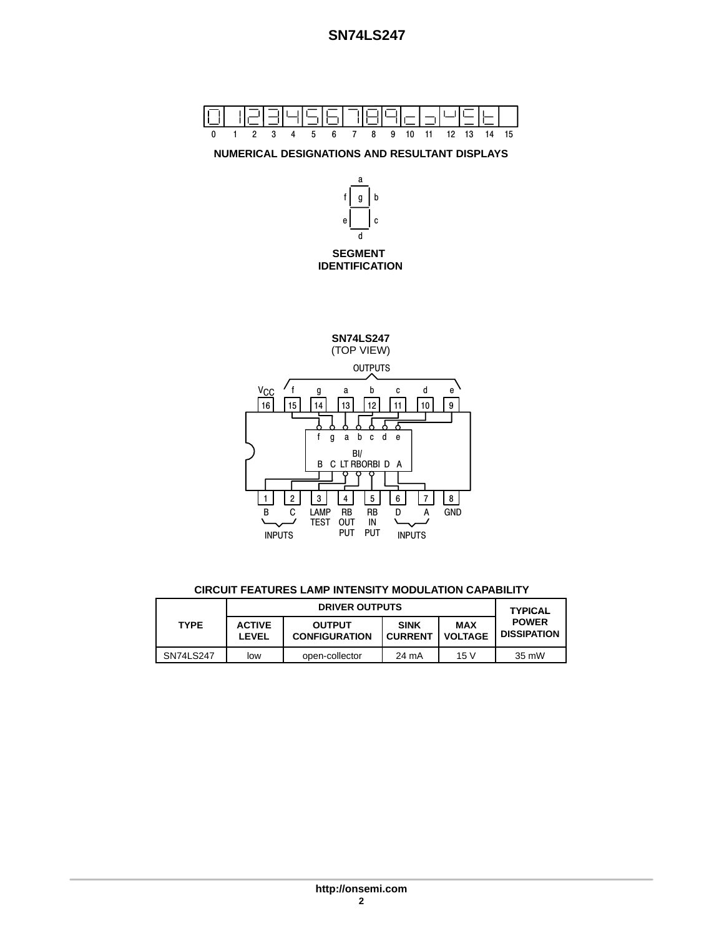

**CIRCUIT FEATURES LAMP INTENSITY MODULATION CAPABILITY**

|             |                        | <b>TYPICAL</b>                        |                               |                       |                                    |
|-------------|------------------------|---------------------------------------|-------------------------------|-----------------------|------------------------------------|
| <b>TYPE</b> | <b>ACTIVE</b><br>LEVEL | <b>OUTPUT</b><br><b>CONFIGURATION</b> | <b>SINK</b><br><b>CURRENT</b> | MAX<br><b>VOLTAGE</b> | <b>POWER</b><br><b>DISSIPATION</b> |
| SN74LS247   | low                    | open-collector                        | 24 mA                         | 15V                   | 35 mW                              |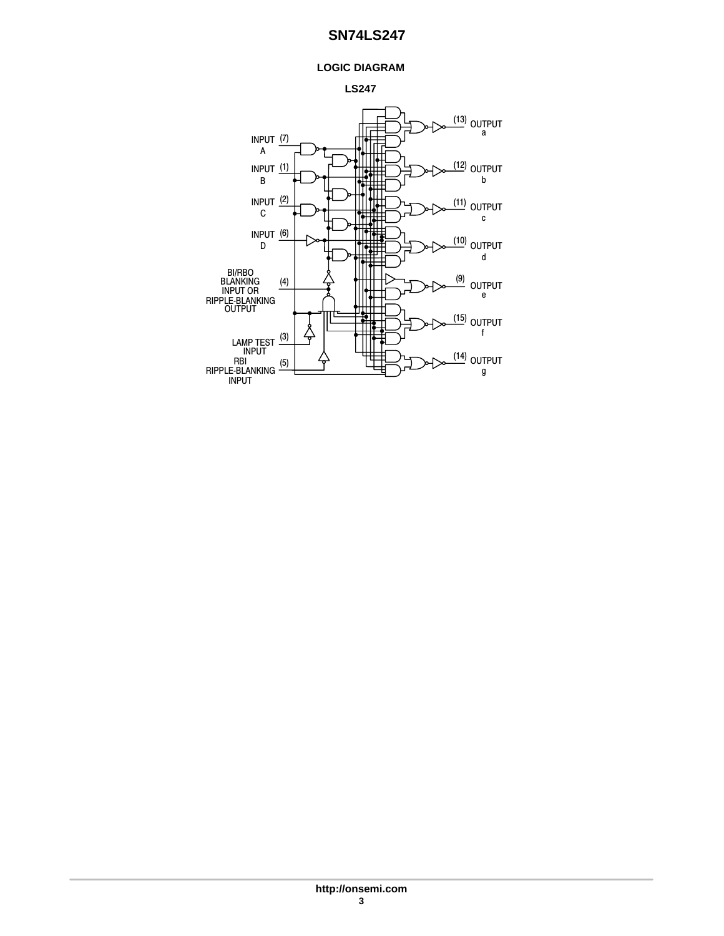### **LOGIC DIAGRAM**



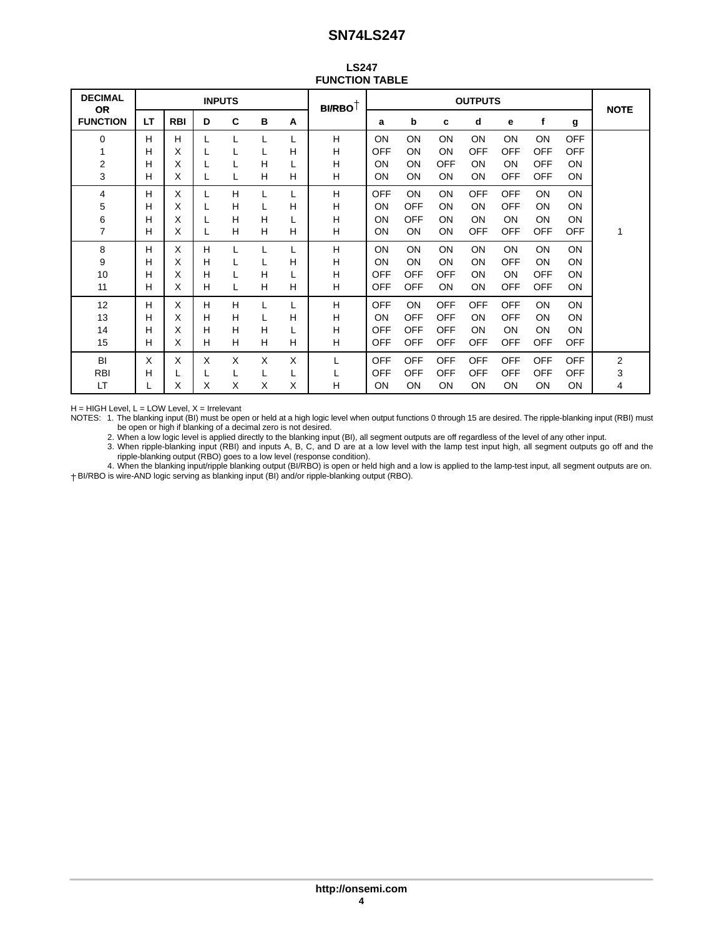| <b>LS247</b>          |  |  |  |  |  |
|-----------------------|--|--|--|--|--|
| <b>FUNCTION TABLE</b> |  |  |  |  |  |

| <b>DECIMAL</b><br><b>OR</b> |    |            |   | <b>INPUTS</b> |   |   | $\mathsf{BI} \mathsf{RBO}^\dagger$ | <b>OUTPUTS</b> |            |            |            | <b>NOTE</b> |            |            |   |
|-----------------------------|----|------------|---|---------------|---|---|------------------------------------|----------------|------------|------------|------------|-------------|------------|------------|---|
| <b>FUNCTION</b>             | LT | <b>RBI</b> | D | C             | B | A |                                    | a              | b          | c          | d          | е           | f          | g          |   |
| 0                           | H  | H          |   |               |   |   | H                                  | ON             | ON         | <b>ON</b>  | ON         | <b>ON</b>   | ON         | <b>OFF</b> |   |
| 1                           | Н  | X          |   |               | L | н | Н                                  | <b>OFF</b>     | ON         | <b>ON</b>  | <b>OFF</b> | <b>OFF</b>  | <b>OFF</b> | <b>OFF</b> |   |
| $\overline{\mathbf{c}}$     | н  | X          |   |               | H |   | Н                                  | ON             | ON         | <b>OFF</b> | ON         | ON          | <b>OFF</b> | ON         |   |
| 3                           | н  | X          |   |               | H | H | н                                  | ON             | ON         | ON         | ON         | <b>OFF</b>  | <b>OFF</b> | ON         |   |
| 4                           | н  | X          |   | H             | L | L | H                                  | <b>OFF</b>     | <b>ON</b>  | <b>ON</b>  | <b>OFF</b> | <b>OFF</b>  | ON         | <b>ON</b>  |   |
| 5                           | н  | X          |   | H             |   | H | н                                  | ON             | <b>OFF</b> | <b>ON</b>  | ON         | <b>OFF</b>  | ON         | ON         |   |
| 6                           | н  | Χ          |   | H             | H | L | Н                                  | ON             | <b>OFF</b> | ON         | ON         | <b>ON</b>   | ON         | ON         |   |
| $\overline{7}$              | н  | X          |   | H             | H | н | н                                  | ON             | ON         | <b>ON</b>  | <b>OFF</b> | <b>OFF</b>  | <b>OFF</b> | <b>OFF</b> | 1 |
| 8                           | н  | X          | H |               |   |   | H                                  | ON             | ON         | ON         | ON         | <b>ON</b>   | ON         | <b>ON</b>  |   |
| 9                           | н  | X          | н |               | L | н | H                                  | ON             | ON         | <b>ON</b>  | ON         | <b>OFF</b>  | <b>ON</b>  | ON         |   |
| 10                          | Н  | Χ          | H |               | H | L | H                                  | <b>OFF</b>     | <b>OFF</b> | <b>OFF</b> | ON         | <b>ON</b>   | <b>OFF</b> | ON         |   |
| 11                          | н  | X          | н |               | H | H | н                                  | <b>OFF</b>     | <b>OFF</b> | ON         | ON         | OFF         | <b>OFF</b> | ON         |   |
| 12                          | Н  | X          | H | H             | L | L | Н                                  | <b>OFF</b>     | ON         | <b>OFF</b> | <b>OFF</b> | <b>OFF</b>  | ON         | ON         |   |
| 13                          | н  | X          | н | H             | L | н | H                                  | ON             | <b>OFF</b> | <b>OFF</b> | ON         | OFF         | <b>ON</b>  | ON         |   |
| 14                          | н  | X          | н | H             | H | L | Н                                  | <b>OFF</b>     | <b>OFF</b> | <b>OFF</b> | ON         | <b>ON</b>   | <b>ON</b>  | <b>ON</b>  |   |
| 15                          | н  | X          | н | H             | H | H | H                                  | <b>OFF</b>     | <b>OFF</b> | <b>OFF</b> | <b>OFF</b> | <b>OFF</b>  | <b>OFF</b> | <b>OFF</b> |   |
| BI                          | X  | x          | X | X             | X | X | L                                  | <b>OFF</b>     | <b>OFF</b> | <b>OFF</b> | <b>OFF</b> | <b>OFF</b>  | OFF        | <b>OFF</b> | 2 |
| <b>RBI</b>                  | Н  | L          |   |               | L | L | L                                  | <b>OFF</b>     | <b>OFF</b> | <b>OFF</b> | OFF        | <b>OFF</b>  | <b>OFF</b> | <b>OFF</b> | 3 |
| LT                          | L  | X          | X | X             | X | X | н                                  | ON             | ON         | ON         | ON         | <b>ON</b>   | <b>ON</b>  | <b>ON</b>  | 4 |

 $H = HIGH$  Level,  $L = LOW$  Level,  $X = I$ rrelevant

NOTES: 1. The blanking input (BI) must be open or held at a high logic level when output functions 0 through 15 are desired. The ripple-blanking input (RBI) must be open or high if blanking of a decimal zero is not desired.

2. When a low logic level is applied directly to the blanking input (BI), all segment outputs are off regardless of the level of any other input.

3. When ripple-blanking input (RBI) and inputs A, B, C, and D are at a low level with the lamp test input high, all segment outputs go off and the ripple-blanking output (RBO) goes to a low level (response condition).

4. When the blanking input/ripple blanking output (BI/RBO) is open or held high and a low is applied to the lamp-test input, all segment outputs are on. BI/RBO is wire-AND logic serving as blanking input (BI) and/or ripple-blanking output (RBO).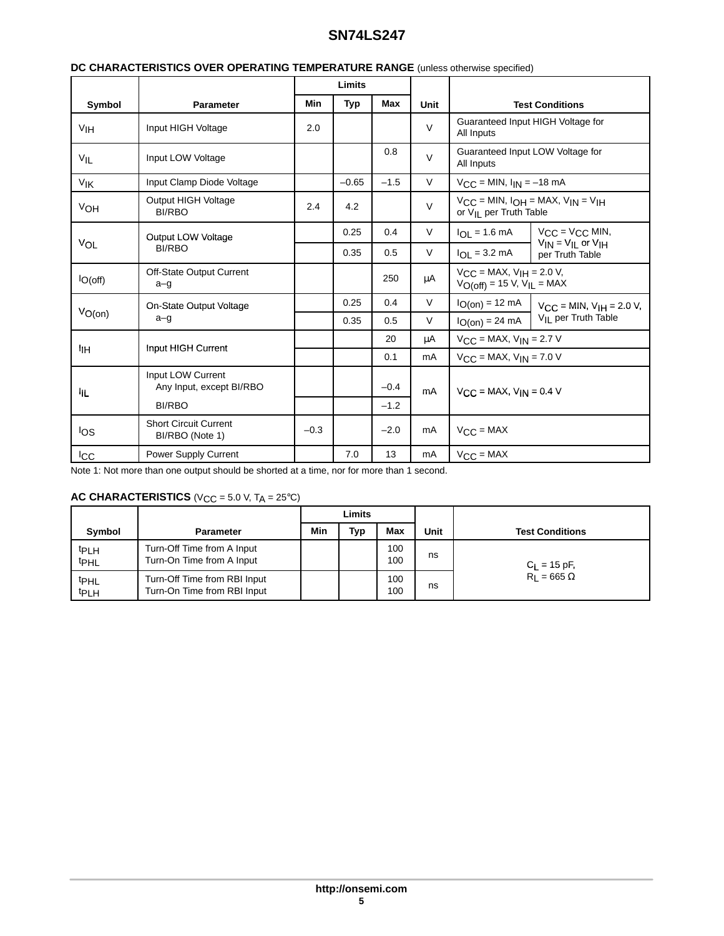|                 |                                                 |            | Limits     |        |             |                                                                        |                                                     |  |
|-----------------|-------------------------------------------------|------------|------------|--------|-------------|------------------------------------------------------------------------|-----------------------------------------------------|--|
| Symbol          | <b>Parameter</b>                                | <b>Min</b> | <b>Typ</b> | Max    | Unit        | <b>Test Conditions</b>                                                 |                                                     |  |
| V <sub>IH</sub> | Input HIGH Voltage                              | 2.0        |            |        | $\vee$      | Guaranteed Input HIGH Voltage for<br>All Inputs                        |                                                     |  |
| $V_{IL}$        | Input LOW Voltage                               |            |            | 0.8    | $\vee$      | All Inputs                                                             | Guaranteed Input LOW Voltage for                    |  |
| VIK             | Input Clamp Diode Voltage                       |            | $-0.65$    | $-1.5$ | V           | $V_{CC} = MIN, I_{IN} = -18 mA$                                        |                                                     |  |
| VOH             | Output HIGH Voltage<br><b>BI/RBO</b>            | 2.4        | 4.2        |        | $\mathsf V$ | or V <sub>II</sub> per Truth Table                                     | $V_{CC}$ = MIN, $I_{OH}$ = MAX, $V_{IN}$ = $V_{IH}$ |  |
|                 | Output LOW Voltage                              |            | 0.25       | 0.4    | V           | $I_{OL} = 1.6$ mA                                                      | $V_{CC} = V_{CC}$ MIN,                              |  |
| VOL             | <b>BI/RBO</b>                                   |            | 0.35       | 0.5    | V           | $I_{OL} = 3.2 \text{ mA}$                                              | $V_{IN} = V_{IL}$ or $V_{IH}$<br>per Truth Table    |  |
| $I_{O(off)}$    | Off-State Output Current<br>$a - g$             |            |            | 250    | μA          | $V_{CC}$ = MAX, $V_{IH}$ = 2.0 V,<br>$V_{O(off)} = 15 V, V_{IL} = MAX$ |                                                     |  |
|                 | On-State Output Voltage                         |            | 0.25       | 0.4    | $\vee$      | $I_{O(0n)} = 12$ mA                                                    | $V_{CC}$ = MIN, $V_{HH}$ = 2.0 V,                   |  |
| $V_{O(0n)}$     | $a - g$                                         |            | 0.35       | 0.5    | V           | $I_{O(0n)} = 24 mA$                                                    | V <sub>IL</sub> per Truth Table                     |  |
|                 | Input HIGH Current                              |            |            | 20     | μA          | $V_{CC}$ = MAX, $V_{IN}$ = 2.7 V                                       |                                                     |  |
| łін             |                                                 |            |            | 0.1    | mA          | $V_{\text{C}}$ = MAX, $V_{\text{IN}}$ = 7.0 V                          |                                                     |  |
| łр.             | Input LOW Current<br>Any Input, except BI/RBO   |            |            | $-0.4$ | mA          | $V_{CC}$ = MAX, $V_{IN}$ = 0.4 V                                       |                                                     |  |
|                 | <b>BI/RBO</b>                                   |            |            | $-1.2$ |             |                                                                        |                                                     |  |
| los             | <b>Short Circuit Current</b><br>BI/RBO (Note 1) | $-0.3$     |            | $-2.0$ | mA          | $V_{\text{CC}} = \text{MAX}$                                           |                                                     |  |
| <b>ICC</b>      | Power Supply Current                            |            | 7.0        | 13     | mA          | $VCC = MAX$                                                            |                                                     |  |

#### **DC CHARACTERISTICS OVER OPERATING TEMPERATURE RANGE** (unless otherwise specified)

Note 1: Not more than one output should be shorted at a time, nor for more than 1 second.

## **AC CHARACTERISTICS** ( $V_{CC}$  = 5.0 V,  $T_A$  = 25°C)

|                                      |                                                             | Limits |     |            |      |                        |  |
|--------------------------------------|-------------------------------------------------------------|--------|-----|------------|------|------------------------|--|
| <b>Symbol</b>                        | <b>Parameter</b>                                            | Min    | Typ | Max        | Unit | <b>Test Conditions</b> |  |
| t <sub>PLH</sub><br>t <sub>PHL</sub> | Turn-Off Time from A Input<br>Turn-On Time from A Input     |        |     | 100<br>100 | ns   | $C_{L}$ = 15 pF,       |  |
| t <sub>PHL</sub><br>t <sub>PLH</sub> | Turn-Off Time from RBI Input<br>Turn-On Time from RBI Input |        |     | 100<br>100 | ns   | $R_1 = 665 \Omega$     |  |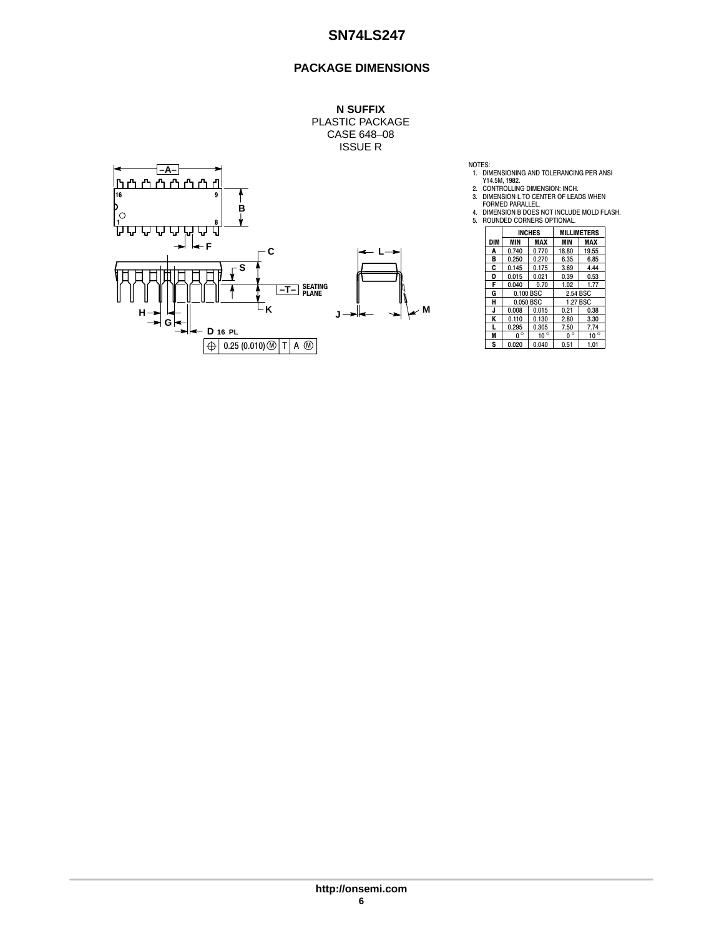## **PACKAGE DIMENSIONS**



NOTES:<br>
1. DIMENSIONING AND TOLERANCING PER ANSI<br>
2. CONTROLLING DIMENSION: INCH.<br>
3. DIMENSION L TO CENTER OF LEADS WHEN<br>
FORMED PARALLEL.<br>
4. DIMENSION B DOES NOT INCLUDE MOLD FLASH.<br>
4. DIMENSION B DOES NOT INCLUDE MOLD

|     |             | <b>INCHES</b> |             | <b>MILLIMETERS</b> |  |
|-----|-------------|---------------|-------------|--------------------|--|
| DIM | <b>MIN</b>  | MAX           | <b>MIN</b>  | MAX                |  |
| A   | 0.740       | 0.770         | 18.80       | 19.55              |  |
| в   | 0.250       | 0.270         | 6.35        | 6.85               |  |
| C   | 0.145       | 0.175         | 3.69        | 4.44               |  |
| D   | 0.015       | 0.021         | 0.39        | 0.53               |  |
| F   | 0.040       | 0.70          | 1.02        | 1.77               |  |
| G   | 0.100 BSC   |               | 2.54 BSC    |                    |  |
| н   | 0.050 BSC   |               | 1.27 BSC    |                    |  |
| J   | 0.008       | 0.015         | 0.21        | 0.38               |  |
| ĸ   | 0.110       | 0.130         | 2.80        | 3.30               |  |
| L   | 0.295       | 0.305         | 7.50        | 7.74               |  |
| M   | $0^{\circ}$ | $10^{\circ}$  | $0^{\circ}$ | $10^{\circ}$       |  |
| S   | 0.020       | 0.040         | 0.51        | 1.01               |  |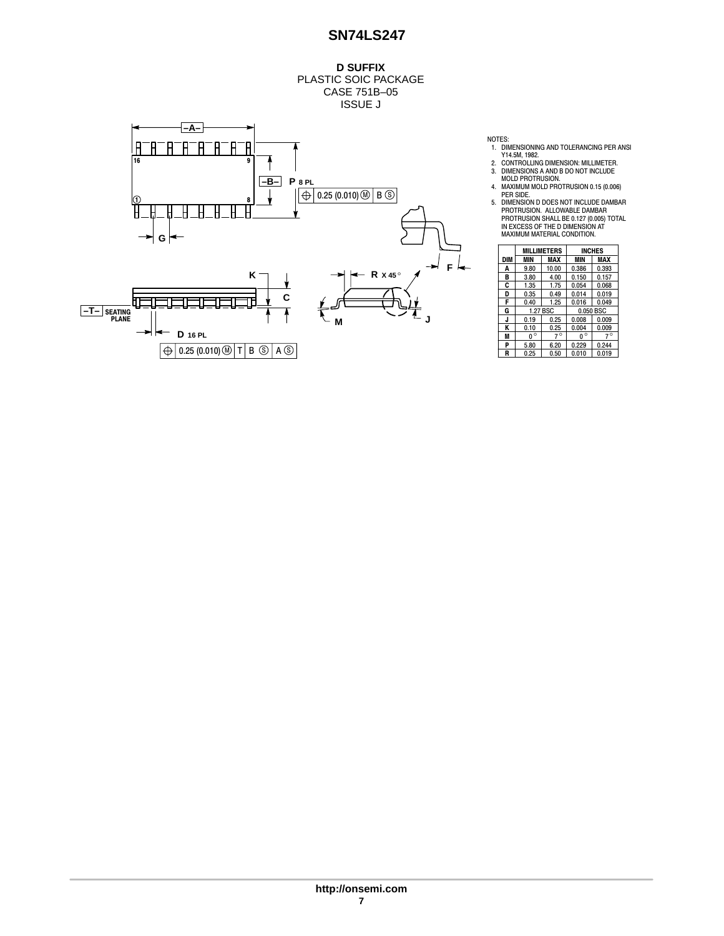**D SUFFIX** PLASTIC SOIC PACKAGE CASE 751B–05 ISSUE J



NOTES:<br>
1. DIMENSIONING AND TOLERANCING PER ANSI<br>
2. CONTROLLING DIMENSION: MILLIMETER.<br>
3. DIMENSIONS A AND B DO NOT INCLUDE<br>
MOLD PROTRUSION.<br>
4. MAXIMUM MOLD PROTRUSION 0.15 (0.006)<br>
PER SIDE.<br>
5. DIMENSION D DOES NOT I

|     |              | <b>MILLIMETERS</b> |             | <b>INCHES</b> |  |  |
|-----|--------------|--------------------|-------------|---------------|--|--|
| DIM | MIN          | MAX                | MIN         | MAX           |  |  |
| A   | 9.80         | 10.00              | 0.386       | 0.393         |  |  |
| в   | 3.80         | 4.00               | 0.150       | 0.157         |  |  |
| C   | 1.35         | 1.75               | 0.054       | 0.068         |  |  |
| D   | 0.35         | 0.49               | 0.014       | 0.019         |  |  |
| F   | 0.40         | 1.25               | 0.016       | 0.049         |  |  |
| G   |              | 1.27 BSC           |             | 0.050 BSC     |  |  |
| J   | 0.19         | 0.25               | 0.008       | 0.009         |  |  |
| Κ   | 0.10         | 0.25               | 0.004       | 0.009         |  |  |
| M   | $\circ$<br>U | $7^\circ$          | $0^{\circ}$ | $7^\circ$     |  |  |
| P   | 5.80         | 6.20               | 0.229       | 0.244         |  |  |
| R   | 0.25         | 0.50               | 0.010       | 0.019         |  |  |